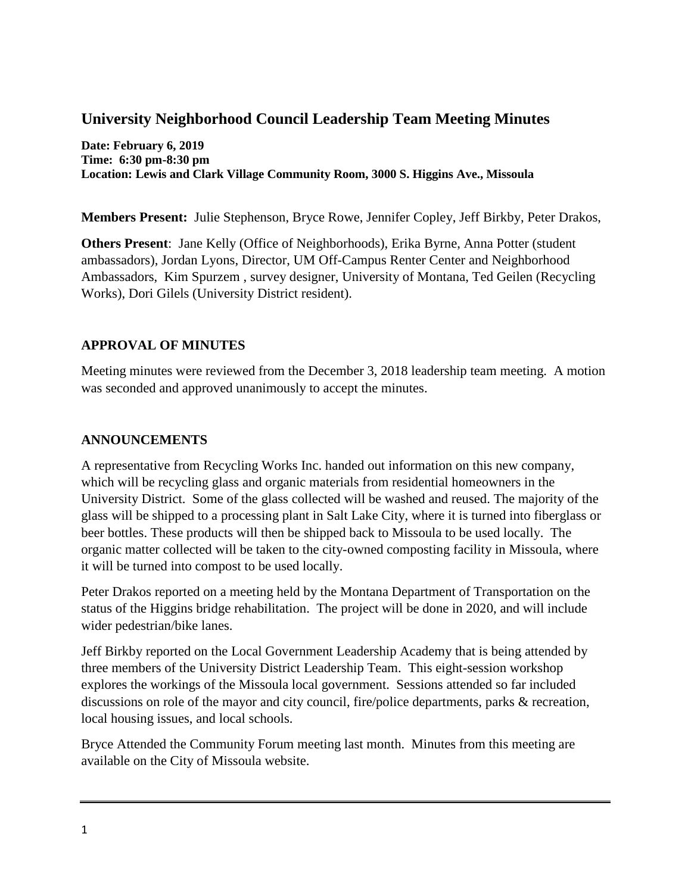# **University Neighborhood Council Leadership Team Meeting Minutes**

**Date: February 6, 2019 Time: 6:30 pm-8:30 pm Location: Lewis and Clark Village Community Room, 3000 S. Higgins Ave., Missoula**

**Members Present:** Julie Stephenson, Bryce Rowe, Jennifer Copley, Jeff Birkby, Peter Drakos,

**Others Present**: Jane Kelly (Office of Neighborhoods), Erika Byrne, Anna Potter (student ambassadors), Jordan Lyons, Director, UM Off-Campus Renter Center and Neighborhood Ambassadors, Kim Spurzem , survey designer, University of Montana, Ted Geilen (Recycling Works), Dori Gilels (University District resident).

### **APPROVAL OF MINUTES**

Meeting minutes were reviewed from the December 3, 2018 leadership team meeting. A motion was seconded and approved unanimously to accept the minutes.

### **ANNOUNCEMENTS**

A representative from Recycling Works Inc. handed out information on this new company, which will be recycling glass and organic materials from residential homeowners in the University District. Some of the glass collected will be washed and reused. The majority of the glass will be shipped to a processing plant in Salt Lake City, where it is turned into fiberglass or beer bottles. These products will then be shipped back to Missoula to be used locally. The organic matter collected will be taken to the city-owned composting facility in Missoula, where it will be turned into compost to be used locally.

Peter Drakos reported on a meeting held by the Montana Department of Transportation on the status of the Higgins bridge rehabilitation. The project will be done in 2020, and will include wider pedestrian/bike lanes.

Jeff Birkby reported on the Local Government Leadership Academy that is being attended by three members of the University District Leadership Team. This eight-session workshop explores the workings of the Missoula local government. Sessions attended so far included discussions on role of the mayor and city council, fire/police departments, parks & recreation, local housing issues, and local schools.

Bryce Attended the Community Forum meeting last month. Minutes from this meeting are available on the City of Missoula website.